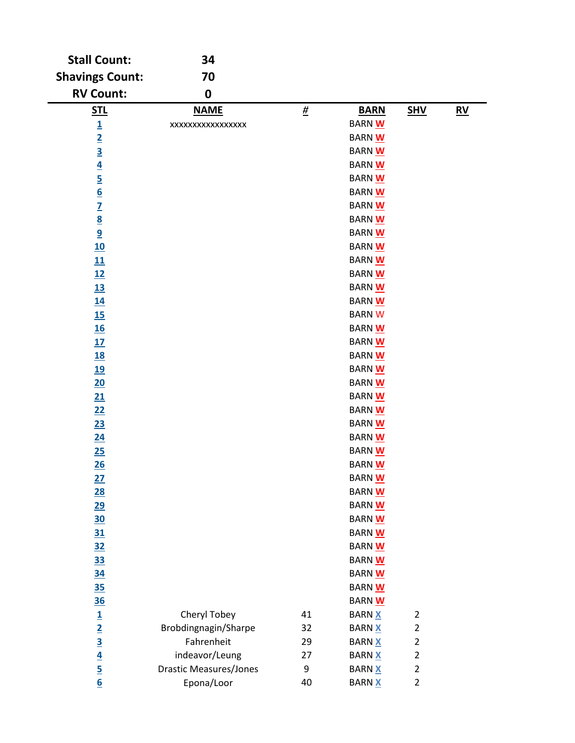| <b>Stall Count:</b>                                                   | 34                            |                  |               |                         |                  |
|-----------------------------------------------------------------------|-------------------------------|------------------|---------------|-------------------------|------------------|
| <b>Shavings Count:</b>                                                | 70                            |                  |               |                         |                  |
| <b>RV Count:</b>                                                      | $\mathbf 0$                   |                  |               |                         |                  |
| <u>STL</u>                                                            | <b>NAME</b>                   | $\underline{\#}$ | <b>BARN</b>   | <b>SHV</b>              | $\underline{RV}$ |
| $\overline{1}$                                                        | XXXXXXXXXXXXXXXX              |                  | <b>BARN W</b> |                         |                  |
|                                                                       |                               |                  | BARN W        |                         |                  |
|                                                                       |                               |                  | BARN W        |                         |                  |
|                                                                       |                               |                  | BARN W        |                         |                  |
|                                                                       |                               |                  | BARN W        |                         |                  |
| $\frac{2}{3}$ $\frac{3}{4}$ $\frac{4}{5}$ $\frac{6}{6}$               |                               |                  | BARN W        |                         |                  |
|                                                                       |                               |                  | BARN W        |                         |                  |
| $\frac{7}{8}$                                                         |                               |                  | BARN W        |                         |                  |
| $\overline{9}$                                                        |                               |                  | BARN W        |                         |                  |
| 10                                                                    |                               |                  | BARN W        |                         |                  |
| 11                                                                    |                               |                  | BARN W        |                         |                  |
| 12                                                                    |                               |                  | <b>BARN W</b> |                         |                  |
| <u>13</u>                                                             |                               |                  | <b>BARN W</b> |                         |                  |
| 14                                                                    |                               |                  | BARN W        |                         |                  |
| 15                                                                    |                               |                  | <b>BARNW</b>  |                         |                  |
| <u>16</u>                                                             |                               |                  | BARN W        |                         |                  |
| 17                                                                    |                               |                  | BARN W        |                         |                  |
| <u>18</u>                                                             |                               |                  | BARN W        |                         |                  |
| <u>19</u>                                                             |                               |                  | BARN W        |                         |                  |
| 20                                                                    |                               |                  | BARN W        |                         |                  |
| 21                                                                    |                               |                  | BARN W        |                         |                  |
| 22                                                                    |                               |                  | BARN W        |                         |                  |
| 23                                                                    |                               |                  | BARN W        |                         |                  |
| $\underline{24}$                                                      |                               |                  | <b>BARN W</b> |                         |                  |
| 25                                                                    |                               |                  | BARN W        |                         |                  |
| 26                                                                    |                               |                  | BARN W        |                         |                  |
| 27                                                                    |                               |                  | BARN W        |                         |                  |
| 28                                                                    |                               |                  | <b>BARN W</b> |                         |                  |
| 29                                                                    |                               |                  | <b>BARN W</b> |                         |                  |
| <u>30</u>                                                             |                               |                  | BARN W        |                         |                  |
| 31                                                                    |                               |                  | <b>BARN W</b> |                         |                  |
| <u>32</u>                                                             |                               |                  | BARN W        |                         |                  |
| <u>33</u>                                                             |                               |                  | BARN W        |                         |                  |
| <u>34</u>                                                             |                               |                  | <b>BARN W</b> |                         |                  |
| <u>35</u>                                                             |                               |                  | <b>BARN W</b> |                         |                  |
| <u>36</u>                                                             |                               |                  | BARN W        |                         |                  |
|                                                                       | Cheryl Tobey                  | 41               | <b>BARN X</b> | $\overline{2}$          |                  |
| $\frac{1}{2}$ $\frac{2}{3}$ $\frac{3}{4}$ $\frac{4}{5}$ $\frac{6}{6}$ | Brobdingnagin/Sharpe          | 32               | <b>BARN X</b> | $\overline{2}$          |                  |
|                                                                       | Fahrenheit                    | 29               | <b>BARN X</b> | $\overline{\mathbf{c}}$ |                  |
|                                                                       | indeavor/Leung                | 27               | <b>BARN X</b> | $\mathbf 2$             |                  |
|                                                                       | <b>Drastic Measures/Jones</b> | 9                | <b>BARN X</b> | $\overline{2}$          |                  |
|                                                                       | Epona/Loor                    | 40               | <b>BARN X</b> | $\overline{2}$          |                  |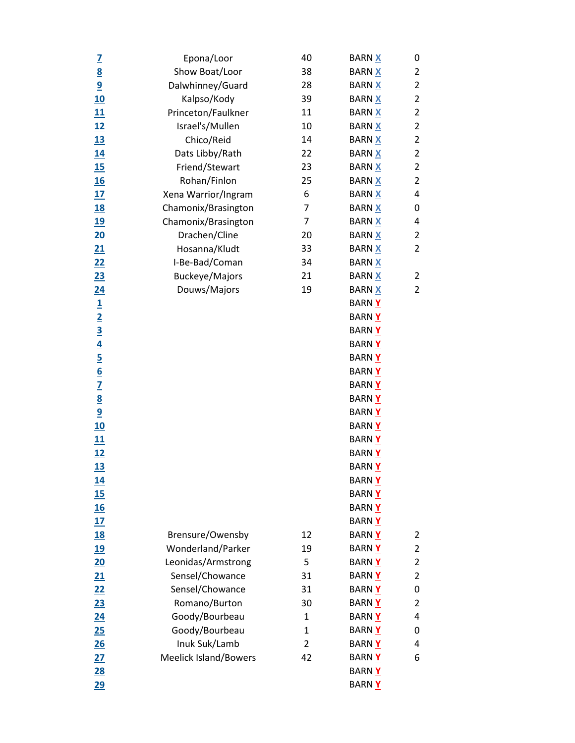|                                                                       | Epona/Loor                   | 40             | <b>BARN X</b> | 0              |
|-----------------------------------------------------------------------|------------------------------|----------------|---------------|----------------|
| $\frac{7}{8}$                                                         | Show Boat/Loor               | 38             | <b>BARN X</b> | 2              |
| $\overline{9}$                                                        | Dalwhinney/Guard             | 28             | <b>BARN X</b> | 2              |
| <u>10</u>                                                             | Kalpso/Kody                  | 39             | <b>BARN X</b> | $\overline{2}$ |
| <u>11</u>                                                             | Princeton/Faulkner           | 11             | <b>BARN X</b> | $\overline{2}$ |
| 12                                                                    | Israel's/Mullen              | 10             | <b>BARN X</b> | 2              |
| <u>13</u>                                                             | Chico/Reid                   | 14             | <b>BARN X</b> | $\overline{2}$ |
| <u>14</u>                                                             | Dats Libby/Rath              | 22             | <b>BARN X</b> | 2              |
| 15                                                                    | Friend/Stewart               | 23             | <b>BARN X</b> | $\overline{2}$ |
| <u>16</u>                                                             | Rohan/Finlon                 | 25             | <b>BARN X</b> | $\overline{2}$ |
| 17                                                                    | Xena Warrior/Ingram          | 6              | <b>BARN X</b> | 4              |
| <u>18</u>                                                             | Chamonix/Brasington          | 7              | <b>BARN X</b> | 0              |
| <u>19</u>                                                             | Chamonix/Brasington          | 7              | <b>BARN X</b> | 4              |
| $\overline{20}$                                                       | Drachen/Cline                | 20             | <b>BARN X</b> | $\overline{2}$ |
| 21                                                                    | Hosanna/Kludt                | 33             | <b>BARN X</b> | $\overline{2}$ |
| 22                                                                    | I-Be-Bad/Coman               | 34             | <b>BARN X</b> |                |
| <u>23</u>                                                             | Buckeye/Majors               | 21             | <b>BARN X</b> | 2              |
| <u>24</u>                                                             | Douws/Majors                 | 19             | <b>BARN X</b> | $\overline{2}$ |
|                                                                       |                              |                | <b>BARNY</b>  |                |
|                                                                       |                              |                | <b>BARNY</b>  |                |
|                                                                       |                              |                | <b>BARNY</b>  |                |
| $\frac{1}{2}$ $\frac{3}{4}$ $\frac{4}{5}$ $\frac{5}{6}$ $\frac{7}{2}$ |                              |                | <b>BARNY</b>  |                |
|                                                                       |                              |                | <b>BARNY</b>  |                |
|                                                                       |                              |                | <b>BARNY</b>  |                |
|                                                                       |                              |                | <b>BARNY</b>  |                |
|                                                                       |                              |                | <b>BARNY</b>  |                |
| $\frac{8}{9}$                                                         |                              |                | BARN Y        |                |
| 10                                                                    |                              |                | <b>BARNY</b>  |                |
| <u>11</u>                                                             |                              |                | <b>BARNY</b>  |                |
| 12                                                                    |                              |                | <b>BARNY</b>  |                |
| 13                                                                    |                              |                | <b>BARNY</b>  |                |
| <u>14</u>                                                             |                              |                | <b>BARNY</b>  |                |
| 15                                                                    |                              |                | <b>BARNY</b>  |                |
| 16                                                                    |                              |                | <b>BARNY</b>  |                |
| 17                                                                    |                              |                | BARN Y        |                |
| <u>18</u>                                                             | Brensure/Owensby             | 12             | <b>BARNY</b>  | 2              |
| <u>19</u>                                                             | Wonderland/Parker            | 19             | <b>BARNY</b>  | 2              |
| $\overline{20}$                                                       | Leonidas/Armstrong           | 5              | <b>BARNY</b>  | $\overline{2}$ |
| 21                                                                    | Sensel/Chowance              | 31             | <b>BARNY</b>  | 2              |
| 22                                                                    | Sensel/Chowance              | 31             | <b>BARNY</b>  | 0              |
| 23                                                                    | Romano/Burton                | 30             | <b>BARNY</b>  | 2              |
| $\overline{24}$                                                       | Goody/Bourbeau               | 1              | BARN Y        | 4              |
| 25                                                                    | Goody/Bourbeau               | 1              | <b>BARNY</b>  | 0              |
| 26                                                                    | Inuk Suk/Lamb                | $\overline{2}$ | BARN Y        | 4              |
| 27                                                                    | <b>Meelick Island/Bowers</b> | 42             | BARN Y        | 6              |
| 28                                                                    |                              |                | <b>BARNY</b>  |                |
| <u>29</u>                                                             |                              |                | <b>BARNY</b>  |                |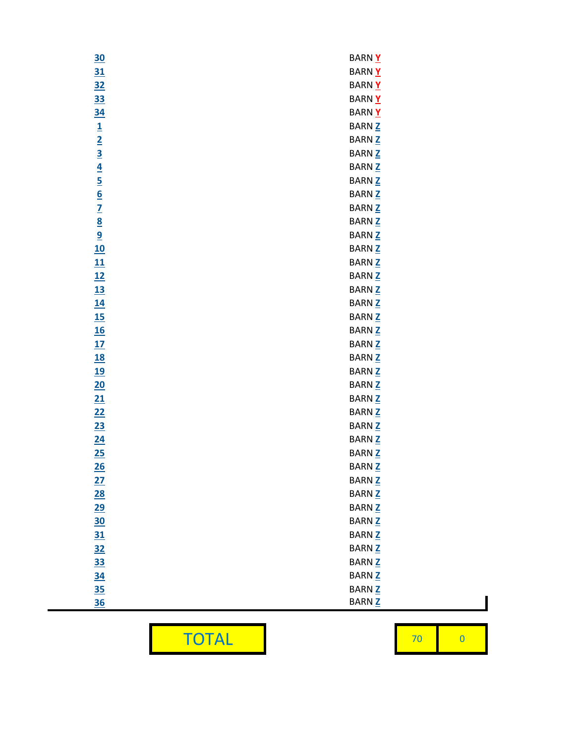| 30                                                                                  | BARN Y                   |
|-------------------------------------------------------------------------------------|--------------------------|
| 31                                                                                  | <b>BARNY</b>             |
| <u>32</u>                                                                           | <b>BARNY</b>             |
| <u>33</u>                                                                           | BARN Y                   |
| <u>34</u>                                                                           | BARN Y                   |
| $\overline{1}$                                                                      | <b>BARN Z</b>            |
|                                                                                     | BARN <sub>Z</sub>        |
|                                                                                     | <b>BARN Z</b>            |
| $\frac{2}{3}$ $\frac{3}{4}$ $\frac{4}{5}$ $\frac{5}{6}$ $\frac{7}{2}$ $\frac{8}{9}$ | BARN <sub>Z</sub>        |
|                                                                                     | <b>BARN Z</b>            |
|                                                                                     | BARN <sub>Z</sub>        |
|                                                                                     | BARN <sub>Z</sub>        |
|                                                                                     | BARN <sub>Z</sub>        |
|                                                                                     | BARN <sub>Z</sub>        |
| 10                                                                                  | BARN <sub>Z</sub>        |
| 11                                                                                  | BARN <sub>Z</sub>        |
| 12                                                                                  | <b>BARN</b> <sub>Z</sub> |
| <u>13</u>                                                                           | BARN <sub>Z</sub>        |
| 14                                                                                  | BARN <sub>Z</sub>        |
| 15                                                                                  | <b>BARN</b> <sub>Z</sub> |
| <u>16</u>                                                                           | BARN <sub>Z</sub>        |
| 17                                                                                  | BARN <sub>Z</sub>        |
| <u>18</u>                                                                           | BARN <sub>Z</sub>        |
| <u>19</u>                                                                           | BARN <sub>Z</sub>        |
| 20                                                                                  | BARN <sub>Z</sub>        |
| 21                                                                                  | BARN <sub>Z</sub>        |
| 22                                                                                  | BARN <sub>Z</sub>        |
| 23                                                                                  | <b>BARNZ</b>             |
| 24                                                                                  | BARN <sub>Z</sub>        |
| 25                                                                                  | BARN <sub>Z</sub>        |
| 26                                                                                  | <b>BARN Z</b>            |
| 27                                                                                  | <b>BARN Z</b>            |
| 28                                                                                  | BARN <sub>Z</sub>        |
| 29                                                                                  | BARN <sub>Z</sub>        |
| <u>30</u>                                                                           | <b>BARN Z</b>            |
| 31                                                                                  | BARN <sub>Z</sub>        |
| <u>32</u>                                                                           | <b>BARN Z</b>            |
| <u>33</u>                                                                           | <b>BARNZ</b>             |
| <u>34</u>                                                                           | <b>BARNZ</b>             |
| <u>35</u>                                                                           | <b>BARNZ</b>             |
| <u>36</u>                                                                           | <b>BARNZ</b>             |
|                                                                                     |                          |

TOTAL 70

0